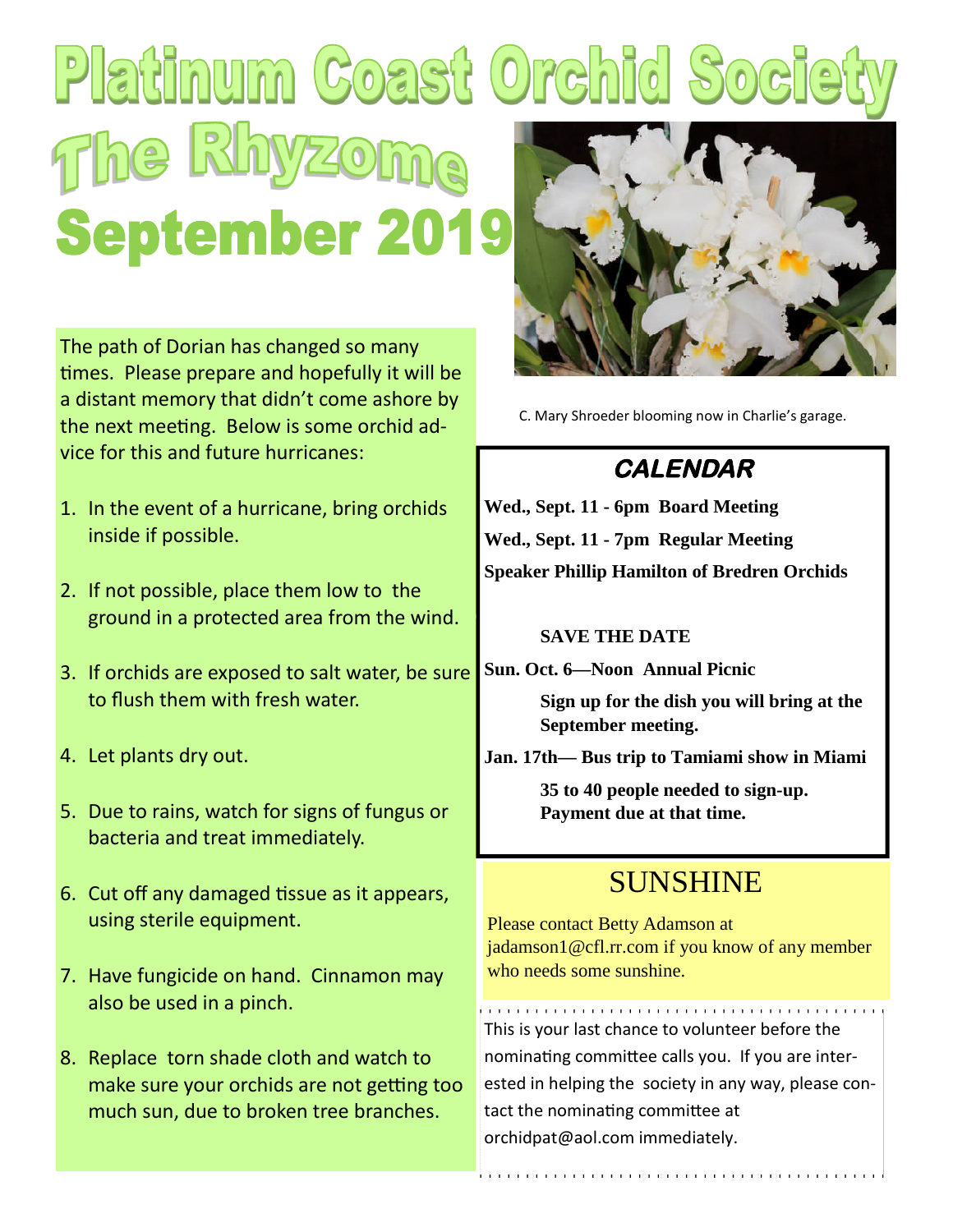# Platinum Coast Orchid So **Fhe Rhyz September 2019**

The path of Dorian has changed so many times. Please prepare and hopefully it will be a distant memory that didn't come ashore by the next meeting. Below is some orchid advice for this and future hurricanes:

- 1. In the event of a hurricane, bring orchids inside if possible.
- 2. If not possible, place them low to the ground in a protected area from the wind.
- 3. If orchids are exposed to salt water, be sure to flush them with fresh water.
- 4. Let plants dry out.
- 5. Due to rains, watch for signs of fungus or bacteria and treat immediately.
- 6. Cut off any damaged tissue as it appears, using sterile equipment.
- 7. Have fungicide on hand. Cinnamon may also be used in a pinch.
- 8. Replace torn shade cloth and watch to make sure your orchids are not getting too much sun, due to broken tree branches.



C. Mary Shroeder blooming now in Charlie's garage.

## **CALENDAR**

**Wed., Sept. 11 - 6pm Board Meeting Wed., Sept. 11 - 7pm Regular Meeting Speaker Phillip Hamilton of Bredren Orchids**

#### **SAVE THE DATE**

**Sun. Oct. 6—Noon Annual Picnic**

**Sign up for the dish you will bring at the September meeting.**

**Jan. 17th— Bus trip to Tamiami show in Miami**

**35 to 40 people needed to sign-up. Payment due at that time.**

## SUNSHINE

Please contact Betty Adamson at jadamson1@cfl.rr.com if you know of any member who needs some sunshine.

This is your last chance to volunteer before the nominating committee calls you. If you are interested in helping the society in any way, please contact the nominating committee at orchidpat@aol.com immediately.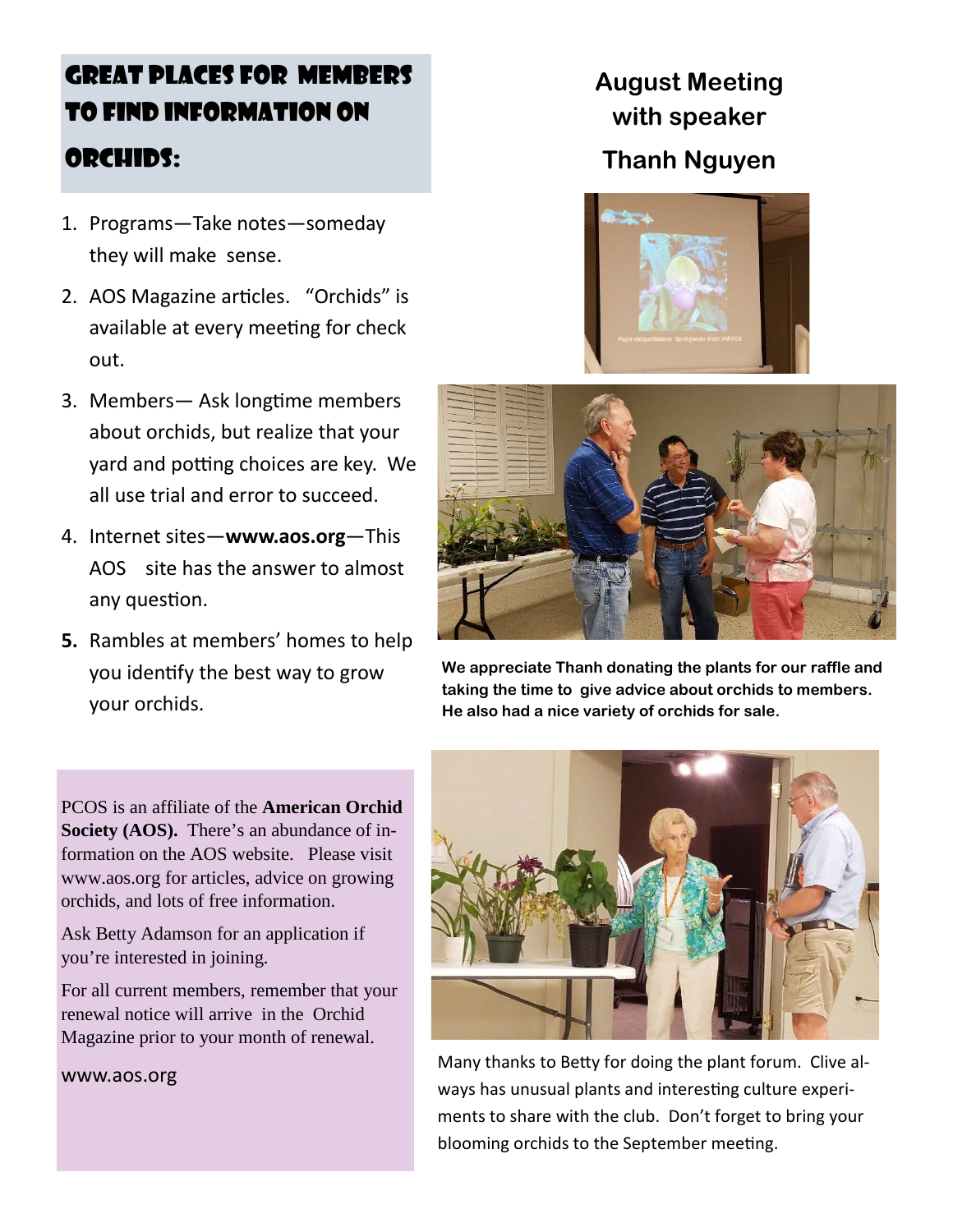## GREAT PLACES FOR MEMBERS TO FIND INFORMATION ON ORCHIDS:

- 1. Programs—Take notes—someday they will make sense.
- 2. AOS Magazine articles. "Orchids" is available at every meeting for check out.
- 3. Members— Ask longtime members about orchids, but realize that your yard and potting choices are key. We all use trial and error to succeed.
- 4. Internet sites—**www.aos.org**—This AOS site has the answer to almost any question.
- **5.** Rambles at members' homes to help you identify the best way to grow your orchids.

**August Meeting with speaker Thanh Nguyen**



**We appreciate Thanh donating the plants for our raffle and taking the time to give advice about orchids to members. He also had a nice variety of orchids for sale.**

PCOS is an affiliate of the **American Orchid Society (AOS).** There's an abundance of information on the AOS website. Please visit www.aos.org for articles, advice on growing orchids, and lots of free information.

Ask Betty Adamson for an application if you're interested in joining.

For all current members, remember that your renewal notice will arrive in the Orchid Magazine prior to your month of renewal.

#### www.aos.org



Many thanks to Betty for doing the plant forum. Clive always has unusual plants and interesting culture experiments to share with the club. Don't forget to bring your blooming orchids to the September meeting.